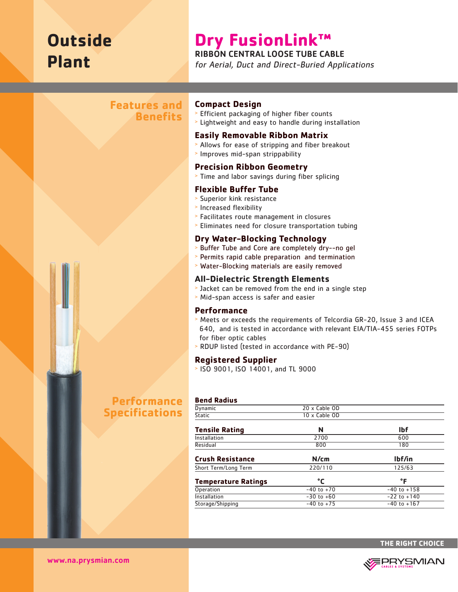# **Outside Plant**

# **Dry FusionLink™**

### RIBBON CENTRAL LOOSE TUBE CABLE

for Aerial, Duct and Direct-Buried Applications

## **Features and Benefits**

# **Performance Specifications**

#### **Compact Design**

- <sup>&</sup>gt; Efficient packaging of higher fiber counts
- <sup>&</sup>gt; Lightweight and easy to handle during installation

#### **Easily Removable Ribbon Matrix**

- <sup>&</sup>gt; Allows for ease of stripping and fiber breakout
- <sup>&</sup>gt; Improves mid-span strippability

#### **Precision Ribbon Geometry**

<sup>&</sup>gt; Time and labor savings during fiber splicing

#### **Flexible Buffer Tube**

- > Superior kink resistance
- <sup>&</sup>gt; Increased flexibility
- <sup>&</sup>gt; Facilitates route management in closures
- <sup>&</sup>gt; Eliminates need for closure transportation tubing

#### **Dry Water-Blocking Technology**

- <sup>&</sup>gt; Buffer Tube and Core are completely dry--no gel
- <sup>&</sup>gt; Permits rapid cable preparation and termination
- <sup>&</sup>gt; Water-Blocking materials are easily removed

#### **All-Dielectric Strength Elements**

- <sup>&</sup>gt; Jacket can be removed from the end in a single step
- <sup>&</sup>gt; Mid-span access is safer and easier

#### **Performance**

- <sup>&</sup>gt; Meets or exceeds the requirements of Telcordia GR-20, Issue 3 and ICEA 640, and is tested in accordance with relevant EIA/TIA-455 series FOTPs for fiber optic cables
- <sup>&</sup>gt; RDUP listed (tested in accordance with PE-90)

#### **Registered Supplier**

<sup>&</sup>gt; ISO 9001, ISO 14001, and TL 9000

#### **Bend Radius**

| Dynamic                    | 20 x Cable OD  |                 |
|----------------------------|----------------|-----------------|
| <b>Static</b>              | 10 x Cable OD  |                 |
| <b>Tensile Rating</b>      | N              | <b>Ibf</b>      |
| Installation               | 2700           | 600             |
| Residual                   | 800            | 180             |
| <b>Crush Resistance</b>    | N/cm           | lbf/in          |
| Short Term/Long Term       | 220/110        | 125/63          |
| <b>Temperature Ratings</b> | °C             | °F              |
| Operation                  | $-40$ to $+70$ | $-40$ to $+158$ |
| Installation               | $-30$ to $+60$ | $-22$ to $+140$ |
| Storage/Shipping           | $-40$ to $+75$ | $-40$ to $+167$ |
|                            |                |                 |



www.na.prysmian.com